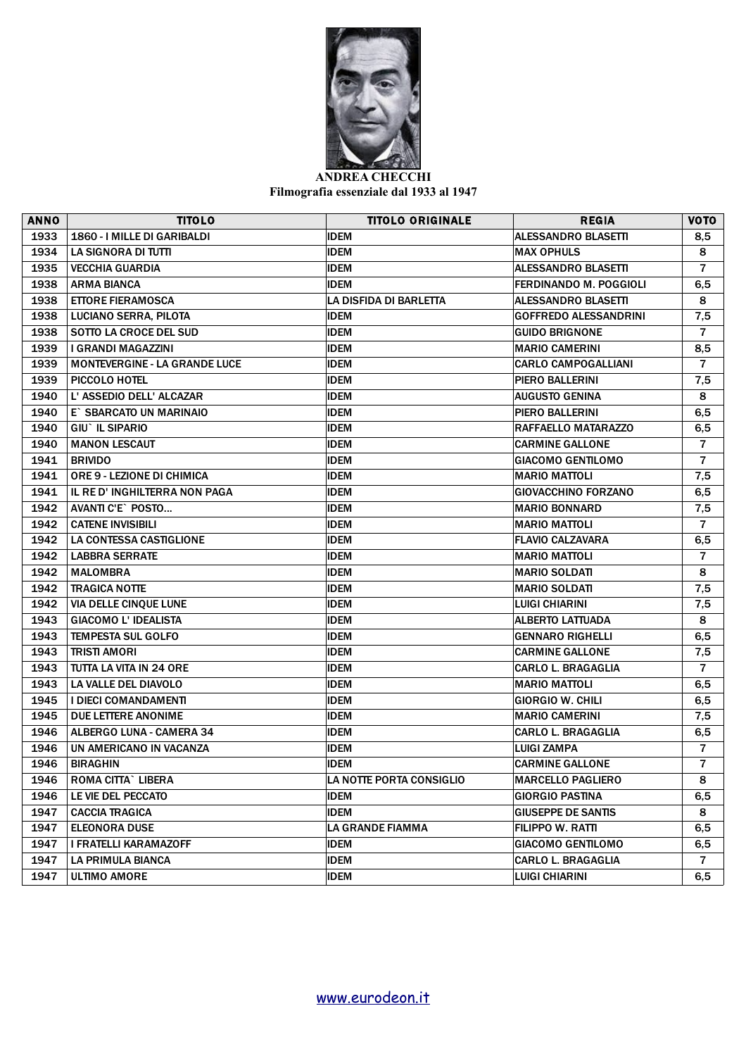

**ANDREA CHECCHI Filmografia essenziale dal 1933 al 1947**

| <b>ANNO</b> | <b>TITOLO</b>                        | <b>TITOLO ORIGINALE</b>  | <b>REGIA</b>                  | <b>VOTO</b>    |
|-------------|--------------------------------------|--------------------------|-------------------------------|----------------|
| 1933        | 1860 - I MILLE DI GARIBALDI          | <b>IDEM</b>              | <b>ALESSANDRO BLASETTI</b>    | 8,5            |
| 1934        | LA SIGNORA DI TUTTI                  | <b>IDEM</b>              | <b>MAX OPHULS</b>             | 8              |
| 1935        | <b>VECCHIA GUARDIA</b>               | <b>IDEM</b>              | <b>ALESSANDRO BLASETTI</b>    | $\overline{7}$ |
| 1938        | <b>ARMA BIANCA</b>                   | <b>IDEM</b>              | <b>FERDINANDO M. POGGIOLI</b> | 6,5            |
| 1938        | <b>ETTORE FIERAMOSCA</b>             | LA DISFIDA DI BARLETTA   | <b>ALESSANDRO BLASETTI</b>    | 8              |
| 1938        | LUCIANO SERRA, PILOTA                | <b>IDEM</b>              | GOFFREDO ALESSANDRINI         | 7,5            |
| 1938        | <b>SOTTO LA CROCE DEL SUD</b>        | <b>IDEM</b>              | <b>GUIDO BRIGNONE</b>         | $\overline{7}$ |
| 1939        | I GRANDI MAGAZZINI                   | <b>IDEM</b>              | <b>MARIO CAMERINI</b>         | 8,5            |
| 1939        | <b>MONTEVERGINE - LA GRANDE LUCE</b> | <b>IDEM</b>              | <b>CARLO CAMPOGALLIANI</b>    | $\overline{7}$ |
| 1939        | PICCOLO HOTEL                        | <b>IDEM</b>              | PIERO BALLERINI               | 7,5            |
| 1940        | L' ASSEDIO DELL' ALCAZAR             | <b>IDEM</b>              | <b>AUGUSTO GENINA</b>         | 8              |
| 1940        | E` SBARCATO UN MARINAIO              | <b>IDEM</b>              | PIERO BALLERINI               | 6,5            |
| 1940        | GIU` IL SIPARIO                      | <b>IDEM</b>              | <b>RAFFAELLO MATARAZZO</b>    | 6,5            |
| 1940        | <b>MANON LESCAUT</b>                 | <b>IDEM</b>              | <b>CARMINE GALLONE</b>        | $\overline{7}$ |
| 1941        | <b>BRIVIDO</b>                       | <b>IDEM</b>              | <b>GIACOMO GENTILOMO</b>      | $\overline{7}$ |
| 1941        | <b>ORE 9 - LEZIONE DI CHIMICA</b>    | <b>IDEM</b>              | <b>MARIO MATTOLI</b>          | 7,5            |
| 1941        | IL RE D' INGHILTERRA NON PAGA        | <b>IDEM</b>              | <b>GIOVACCHINO FORZANO</b>    | 6,5            |
| 1942        | AVANTI C'E` POSTO                    | <b>IDEM</b>              | <b>MARIO BONNARD</b>          | 7,5            |
| 1942        | <b>CATENE INVISIBILI</b>             | <b>IDEM</b>              | <b>MARIO MATTOLI</b>          | $\overline{7}$ |
| 1942        | LA CONTESSA CASTIGLIONE              | <b>IDEM</b>              | <b>FLAVIO CALZAVARA</b>       | 6,5            |
| 1942        | <b>LABBRA SERRATE</b>                | <b>IDEM</b>              | <b>MARIO MATTOLI</b>          | $\overline{7}$ |
| 1942        | <b>MALOMBRA</b>                      | <b>IDEM</b>              | <b>MARIO SOLDATI</b>          | 8              |
| 1942        | <b>TRAGICA NOTTE</b>                 | <b>IDEM</b>              | <b>MARIO SOLDATI</b>          | 7,5            |
| 1942        | VIA DELLE CINQUE LUNE                | <b>IDEM</b>              | LUIGI CHIARINI                | 7,5            |
| 1943        | <b>GIACOMO L' IDEALISTA</b>          | <b>IDEM</b>              | ALBERTO LATTUADA              | 8              |
| 1943        | <b>TEMPESTA SUL GOLFO</b>            | <b>IDEM</b>              | <b>GENNARO RIGHELLI</b>       | 6,5            |
| 1943        | <b>TRISTI AMORI</b>                  | <b>IDEM</b>              | <b>CARMINE GALLONE</b>        | 7,5            |
| 1943        | TUTTA LA VITA IN 24 ORE              | <b>IDEM</b>              | <b>CARLO L. BRAGAGLIA</b>     | $\overline{7}$ |
| 1943        | LA VALLE DEL DIAVOLO                 | <b>IDEM</b>              | MARIO MATTOLI                 | 6,5            |
| 1945        | <b>I DIECI COMANDAMENTI</b>          | <b>IDEM</b>              | <b>GIORGIO W. CHILI</b>       | 6,5            |
| 1945        | DUE LETTERE ANONIME                  | <b>IDEM</b>              | <b>MARIO CAMERINI</b>         | 7,5            |
| 1946        | <b>ALBERGO LUNA - CAMERA 34</b>      | <b>IDEM</b>              | CARLO L. BRAGAGLIA            | 6,5            |
| 1946        | UN AMERICANO IN VACANZA              | <b>IDEM</b>              | <b>LUIGI ZAMPA</b>            | $\overline{7}$ |
| 1946        | <b>BIRAGHIN</b>                      | <b>IDEM</b>              | <b>CARMINE GALLONE</b>        | $\overline{7}$ |
| 1946        | ROMA CITTA` LIBERA                   | LA NOTTE PORTA CONSIGLIO | <b>MARCELLO PAGLIERO</b>      | ${\bf 8}$      |
| 1946        | LE VIE DEL PECCATO                   | IDEM                     | GIORGIO PASTINA               | 6,5            |
| 1947        | <b>CACCIA TRAGICA</b>                | <b>IDEM</b>              | <b>GIUSEPPE DE SANTIS</b>     | 8              |
| 1947        | <b>ELEONORA DUSE</b>                 | LA GRANDE FIAMMA         | FILIPPO W. RATTI              | 6,5            |
| 1947        | I FRATELLI KARAMAZOFF                | <b>IDEM</b>              | <b>GIACOMO GENTILOMO</b>      | 6,5            |
| 1947        | LA PRIMULA BIANCA                    | <b>IDEM</b>              | CARLO L. BRAGAGLIA            | $\overline{7}$ |
| 1947        | <b>ULTIMO AMORE</b>                  | <b>IDEM</b>              | <b>LUIGI CHIARINI</b>         | 6,5            |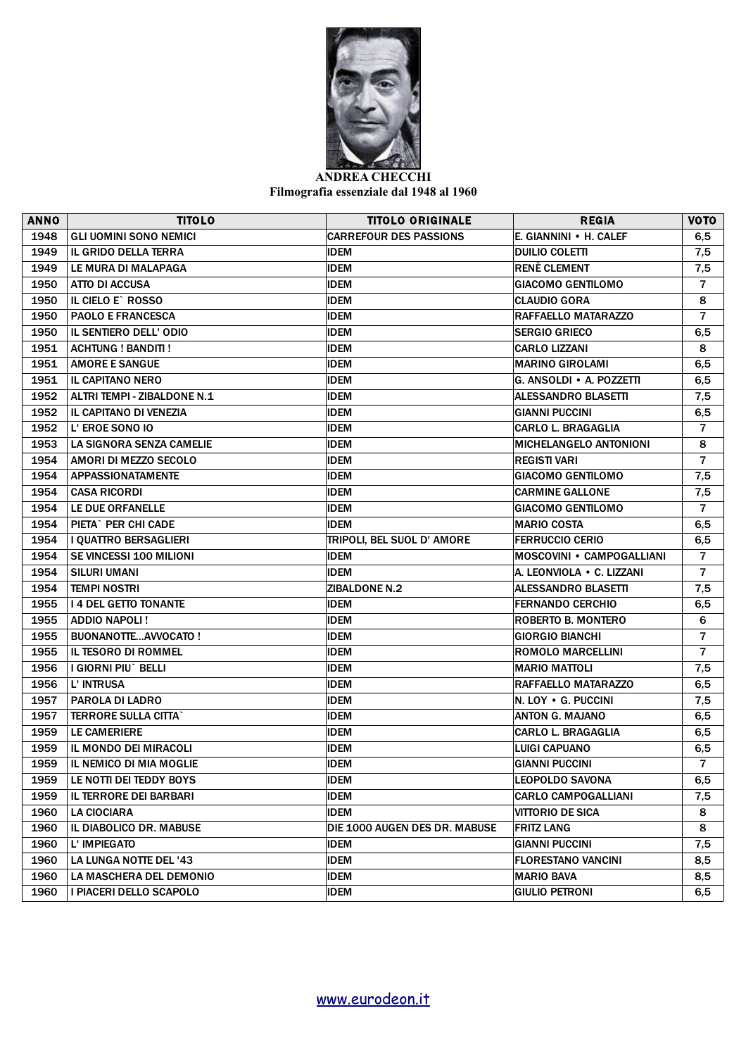

**Filmografia essenziale dal 1948 al 1960**

| <b>ANNO</b> | <b>TITOLO</b>                  | <b>TITOLO ORIGINALE</b>       | <b>REGIA</b>                     | <b>VOTO</b>    |
|-------------|--------------------------------|-------------------------------|----------------------------------|----------------|
| 1948        | <b>GLI UOMINI SONO NEMICI</b>  | <b>CARREFOUR DES PASSIONS</b> | E. GIANNINI . H. CALEF           | 6,5            |
| 1949        | <b>IL GRIDO DELLA TERRA</b>    | <b>IDEM</b>                   | <b>DUILIO COLETTI</b>            | 7,5            |
| 1949        | LE MURA DI MALAPAGA            | <b>IDEM</b>                   | <b>RENÈ CLEMENT</b>              | 7,5            |
| 1950        | <b>ATTO DI ACCUSA</b>          | <b>IDEM</b>                   | <b>GIACOMO GENTILOMO</b>         | $\overline{7}$ |
| 1950        | IL CIELO E` ROSSO              | <b>IDEM</b>                   | <b>CLAUDIO GORA</b>              | 8              |
| 1950        | <b>PAOLO E FRANCESCA</b>       | <b>IDEM</b>                   | RAFFAELLO MATARAZZO              | $\overline{7}$ |
| 1950        | <b>IL SENTIERO DELL' ODIO</b>  | <b>IDEM</b>                   | <b>SERGIO GRIECO</b>             | 6,5            |
| 1951        | <b>ACHTUNG ! BANDITI !</b>     | <b>IDEM</b>                   | <b>CARLO LIZZANI</b>             | 8              |
| 1951        | <b>AMORE E SANGUE</b>          | <b>IDEM</b>                   | MARINO GIROLAMI                  | 6,5            |
| 1951        | <b>IL CAPITANO NERO</b>        | <b>IDEM</b>                   | G. ANSOLDI . A. POZZETTI         | 6,5            |
| 1952        | ALTRI TEMPI - ZIBALDONE N.1    | <b>IDEM</b>                   | ALESSANDRO BLASETTI              | 7,5            |
| 1952        | IL CAPITANO DI VENEZIA         | <b>IDEM</b>                   | <b>GIANNI PUCCINI</b>            | 6,5            |
| 1952        | L'EROE SONO IO                 | <b>IDEM</b>                   | <b>CARLO L. BRAGAGLIA</b>        | $\overline{7}$ |
| 1953        | LA SIGNORA SENZA CAMELIE       | <b>IDEM</b>                   | <b>MICHELANGELO ANTONIONI</b>    | 8              |
| 1954        | AMORI DI MEZZO SECOLO          | <b>IDEM</b>                   | <b>REGISTI VARI</b>              | $\overline{7}$ |
| 1954        | <b>APPASSIONATAMENTE</b>       | <b>IDEM</b>                   | <b>GIACOMO GENTILOMO</b>         | 7,5            |
| 1954        | <b>CASA RICORDI</b>            | <b>IDEM</b>                   | <b>CARMINE GALLONE</b>           | 7,5            |
| 1954        | LE DUE ORFANELLE               | <b>IDEM</b>                   | <b>GIACOMO GENTILOMO</b>         | $\overline{7}$ |
| 1954        | PIETA` PER CHI CADE            | <b>IDEM</b>                   | <b>MARIO COSTA</b>               | 6,5            |
| 1954        | I QUATTRO BERSAGLIERI          | TRIPOLI, BEL SUOL D' AMORE    | <b>FERRUCCIO CERIO</b>           | 6,5            |
| 1954        | <b>SE VINCESSI 100 MILIONI</b> | <b>IDEM</b>                   | <b>MOSCOVINI • CAMPOGALLIANI</b> | $\overline{7}$ |
| 1954        | SILURI UMANI                   | <b>IDEM</b>                   | A. LEONVIOLA • C. LIZZANI        | $\overline{7}$ |
| 1954        | <b>TEMPI NOSTRI</b>            | <b>ZIBALDONE N.2</b>          | ALESSANDRO BLASETTI              | 7,5            |
| 1955        | <b>14 DEL GETTO TONANTE</b>    | <b>IDEM</b>                   | <b>FERNANDO CERCHIO</b>          | 6,5            |
| 1955        | ADDIO NAPOLI!                  | <b>IDEM</b>                   | ROBERTO B. MONTERO               | 6              |
| 1955        | <b>BUONANOTTEAVVOCATO!</b>     | <b>IDEM</b>                   | <b>GIORGIO BIANCHI</b>           | $\overline{7}$ |
| 1955        | IL TESORO DI ROMMEL            | <b>IDEM</b>                   | <b>ROMOLO MARCELLINI</b>         | $\overline{7}$ |
| 1956        | I GIORNI PIU` BELLI            | <b>IDEM</b>                   | <b>MARIO MATTOLI</b>             | 7,5            |
| 1956        | L' INTRUSA                     | <b>IDEM</b>                   | RAFFAELLO MATARAZZO              | 6,5            |
| 1957        | PAROLA DI LADRO                | <b>IDEM</b>                   | N. LOY . G. PUCCINI              | 7,5            |
| 1957        | <b>TERRORE SULLA CITTA`</b>    | <b>IDEM</b>                   | ANTON G. MAJANO                  | 6,5            |
| 1959        | LE CAMERIERE                   | <b>IDEM</b>                   | <b>CARLO L. BRAGAGLIA</b>        | 6,5            |
| 1959        | IL MONDO DEI MIRACOLI          | <b>IDEM</b>                   | <b>LUIGI CAPUANO</b>             | 6,5            |
| 1959        | IL NEMICO DI MIA MOGLIE        | <b>IDEM</b>                   | <b>GIANNI PUCCINI</b>            | $\overline{7}$ |
| 1959        | LE NOTTI DEI TEDDY BOYS        | <b>IDEM</b>                   | <b>LEOPOLDO SAVONA</b>           | 6,5            |
| 1959        | IL TERRORE DEI BARBARI         | <b>IDEM</b>                   | <b>CARLO CAMPOGALLIANI</b>       | 7,5            |
| 1960        | <b>LA CIOCIARA</b>             | <b>IDEM</b>                   | <b>VITTORIO DE SICA</b>          | 8              |
| 1960        | IL DIABOLICO DR. MABUSE        | DIE 1000 AUGEN DES DR. MABUSE | <b>FRITZ LANG</b>                | 8              |
| 1960        | L' IMPIEGATO                   | <b>IDEM</b>                   | <b>GIANNI PUCCINI</b>            | 7,5            |
| 1960        | LA LUNGA NOTTE DEL '43         | <b>IDEM</b>                   | <b>FLORESTANO VANCINI</b>        | 8,5            |
| 1960        | LA MASCHERA DEL DEMONIO        | <b>IDEM</b>                   | <b>MARIO BAVA</b>                | 8,5            |
| 1960        | I PIACERI DELLO SCAPOLO        | <b>IDEM</b>                   | <b>GIULIO PETRONI</b>            | 6,5            |